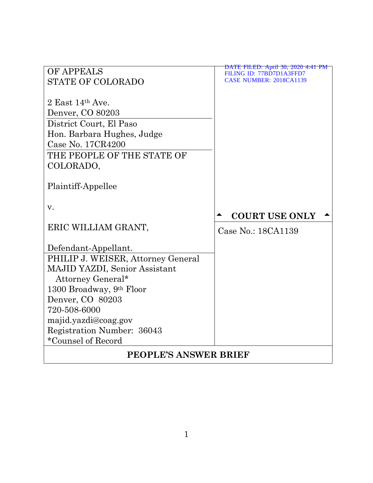| OF APPEALS                         | DATE FILED: April 30, 2020 4:41 PM                         |  |
|------------------------------------|------------------------------------------------------------|--|
| <b>STATE OF COLORADO</b>           | FILING ID: 77BD7D1A3FFD7<br><b>CASE NUMBER: 2018CA1139</b> |  |
|                                    |                                                            |  |
| 2 East $14th$ Ave.                 |                                                            |  |
| Denver, CO 80203                   |                                                            |  |
| District Court, El Paso            |                                                            |  |
| Hon. Barbara Hughes, Judge         |                                                            |  |
| Case No. 17CR4200                  |                                                            |  |
| THE PEOPLE OF THE STATE OF         |                                                            |  |
| COLORADO,                          |                                                            |  |
|                                    |                                                            |  |
| Plaintiff-Appellee                 |                                                            |  |
|                                    |                                                            |  |
| v.                                 |                                                            |  |
|                                    | <b>COURT USE ONLY</b>                                      |  |
| ERIC WILLIAM GRANT,                | Case No.: 18CA1139                                         |  |
|                                    |                                                            |  |
| Defendant-Appellant.               |                                                            |  |
| PHILIP J. WEISER, Attorney General |                                                            |  |
| MAJID YAZDI, Senior Assistant      |                                                            |  |
| Attorney General*                  |                                                            |  |
| 1300 Broadway, 9th Floor           |                                                            |  |
| Denver, CO 80203                   |                                                            |  |
| 720-508-6000                       |                                                            |  |
| majid.yazdi@coag.gov               |                                                            |  |
| Registration Number: 36043         |                                                            |  |
| *Counsel of Record                 |                                                            |  |
| <b>PEOPLE'S ANSWER BRIEF</b>       |                                                            |  |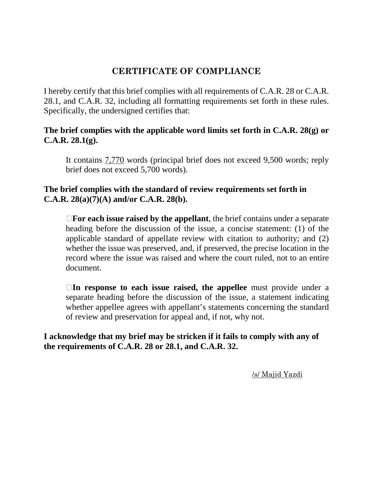# **CERTIFICATE OF COMPLIANCE**

I hereby certify that this brief complies with all requirements of C.A.R. 28 or C.A.R. 28.1, and C.A.R. 32, including all formatting requirements set forth in these rules. Specifically, the undersigned certifies that:

## **The brief complies with the applicable word limits set forth in C.A.R. 28(g) or C.A.R. 28.1(g).**

It contains 7,770 words (principal brief does not exceed 9,500 words; reply brief does not exceed 5,700 words).

## **The brief complies with the standard of review requirements set forth in C.A.R. 28(a)(7)(A) and/or C.A.R. 28(b).**

**For each issue raised by the appellant**, the brief contains under a separate heading before the discussion of the issue, a concise statement: (1) of the applicable standard of appellate review with citation to authority; and (2) whether the issue was preserved, and, if preserved, the precise location in the record where the issue was raised and where the court ruled, not to an entire document.

**In response to each issue raised, the appellee** must provide under a separate heading before the discussion of the issue, a statement indicating whether appellee agrees with appellant's statements concerning the standard of review and preservation for appeal and, if not, why not.

## **I acknowledge that my brief may be stricken if it fails to comply with any of the requirements of C.A.R. 28 or 28.1, and C.A.R. 32.**

/s/ Majid Yazdi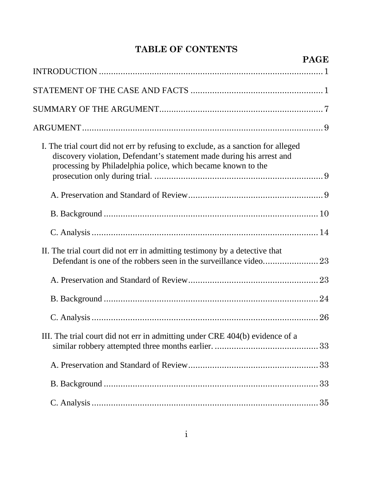# **TABLE OF CONTENTS**

|                                                                                                                                                                                                                           | <b>PAGE</b> |
|---------------------------------------------------------------------------------------------------------------------------------------------------------------------------------------------------------------------------|-------------|
|                                                                                                                                                                                                                           |             |
|                                                                                                                                                                                                                           |             |
|                                                                                                                                                                                                                           |             |
|                                                                                                                                                                                                                           |             |
| I. The trial court did not err by refusing to exclude, as a sanction for alleged<br>discovery violation, Defendant's statement made during his arrest and<br>processing by Philadelphia police, which became known to the |             |
|                                                                                                                                                                                                                           |             |
|                                                                                                                                                                                                                           |             |
|                                                                                                                                                                                                                           |             |
| II. The trial court did not err in admitting testimony by a detective that                                                                                                                                                |             |
|                                                                                                                                                                                                                           |             |
|                                                                                                                                                                                                                           |             |
|                                                                                                                                                                                                                           | 26          |
| III. The trial court did not err in admitting under CRE 404(b) evidence of a                                                                                                                                              |             |
|                                                                                                                                                                                                                           |             |
|                                                                                                                                                                                                                           |             |
|                                                                                                                                                                                                                           |             |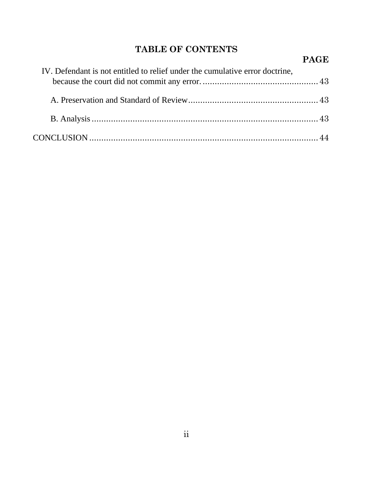# **TABLE OF CONTENTS**

|                                                                              | <b>PAGE</b> |
|------------------------------------------------------------------------------|-------------|
| IV. Defendant is not entitled to relief under the cumulative error doctrine, |             |
|                                                                              |             |
|                                                                              |             |
|                                                                              |             |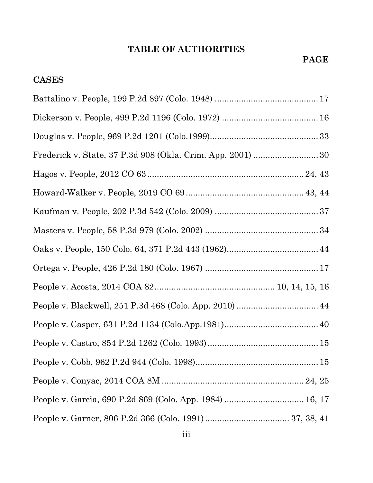# **TABLE OF AUTHORITIES**

# **CASES**

| Frederick v. State, 37 P.3d 908 (Okla. Crim. App. 2001)  30 |
|-------------------------------------------------------------|
|                                                             |
|                                                             |
|                                                             |
|                                                             |
|                                                             |
|                                                             |
|                                                             |
| People v. Blackwell, 251 P.3d 468 (Colo. App. 2010)  44     |
|                                                             |
|                                                             |
|                                                             |
|                                                             |
| People v. Garcia, 690 P.2d 869 (Colo. App. 1984)  16, 17    |
|                                                             |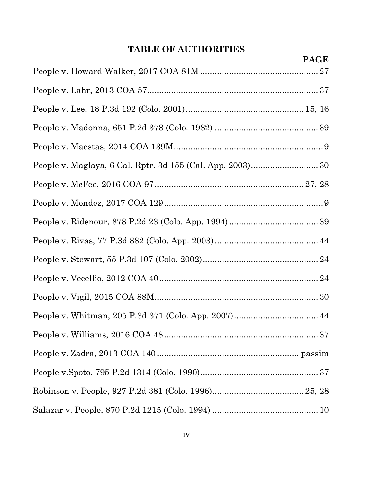# **TABLE OF AUTHORITIES**

| <b>PAGE</b> |
|-------------|
|             |
|             |
|             |
|             |
|             |
|             |
|             |
|             |
|             |
|             |
|             |
|             |
|             |
|             |
|             |
|             |
|             |
|             |
|             |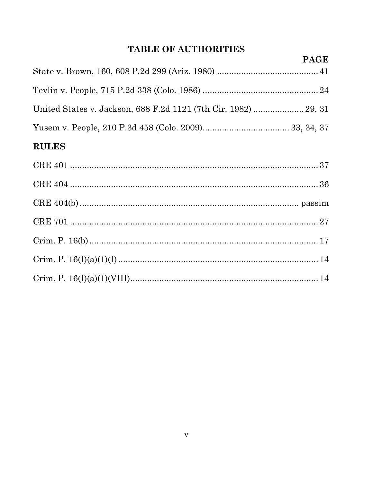# TABLE OF AUTHORITIES

| <b>PAGE</b> |
|-------------|
|             |
|             |
|             |
|             |
|             |

# **RULES**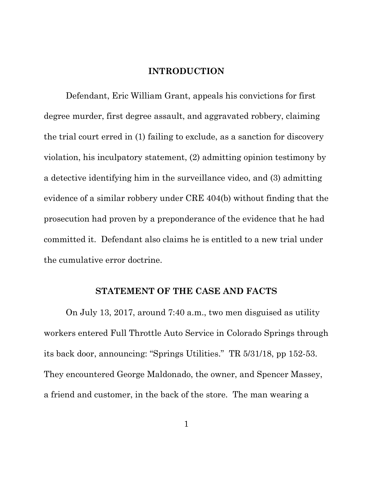### **INTRODUCTION**

Defendant, Eric William Grant, appeals his convictions for first degree murder, first degree assault, and aggravated robbery, claiming the trial court erred in (1) failing to exclude, as a sanction for discovery violation, his inculpatory statement, (2) admitting opinion testimony by a detective identifying him in the surveillance video, and (3) admitting evidence of a similar robbery under CRE 404(b) without finding that the prosecution had proven by a preponderance of the evidence that he had committed it. Defendant also claims he is entitled to a new trial under the cumulative error doctrine.

#### **STATEMENT OF THE CASE AND FACTS**

On July 13, 2017, around 7:40 a.m., two men disguised as utility workers entered Full Throttle Auto Service in Colorado Springs through its back door, announcing: "Springs Utilities." TR 5/31/18, pp 152-53. They encountered George Maldonado, the owner, and Spencer Massey, a friend and customer, in the back of the store. The man wearing a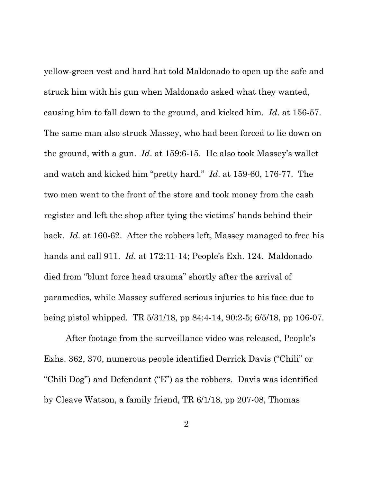yellow-green vest and hard hat told Maldonado to open up the safe and struck him with his gun when Maldonado asked what they wanted, causing him to fall down to the ground, and kicked him. *Id*. at 156-57. The same man also struck Massey, who had been forced to lie down on the ground, with a gun. *Id*. at 159:6-15. He also took Massey's wallet and watch and kicked him "pretty hard." *Id*. at 159-60, 176-77. The two men went to the front of the store and took money from the cash register and left the shop after tying the victims' hands behind their back. *Id*. at 160-62. After the robbers left, Massey managed to free his hands and call 911. *Id*. at 172:11-14; People's Exh. 124. Maldonado died from "blunt force head trauma" shortly after the arrival of paramedics, while Massey suffered serious injuries to his face due to being pistol whipped. TR 5/31/18, pp 84:4-14, 90:2-5; 6/5/18, pp 106-07.

After footage from the surveillance video was released, People's Exhs. 362, 370, numerous people identified Derrick Davis ("Chili" or "Chili Dog") and Defendant ("E") as the robbers. Davis was identified by Cleave Watson, a family friend, TR 6/1/18, pp 207-08, Thomas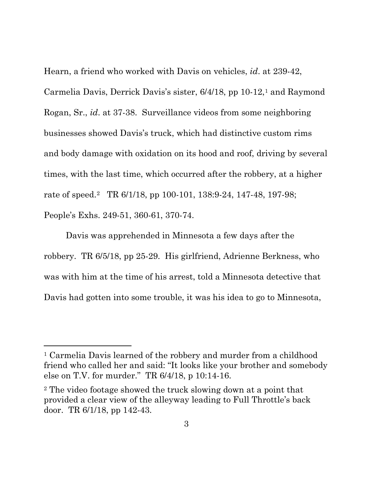Hearn, a friend who worked with Davis on vehicles, *id*. at 239-42, Carmelia Davis, Derrick Davis's sister, 6/4/18, pp 10-12,1 and Raymond Rogan, Sr., *id*. at 37-38. Surveillance videos from some neighboring businesses showed Davis's truck, which had distinctive custom rims and body damage with oxidation on its hood and roof, driving by several times, with the last time, which occurred after the robbery, at a higher rate of speed.<sup>2</sup> TR 6/1/18, pp 100-101, 138:9-24, 147-48, 197-98; People's Exhs. 249-51, 360-61, 370-74.

Davis was apprehended in Minnesota a few days after the robbery. TR 6/5/18, pp 25-29. His girlfriend, Adrienne Berkness, who was with him at the time of his arrest, told a Minnesota detective that Davis had gotten into some trouble, it was his idea to go to Minnesota,

<sup>1</sup> Carmelia Davis learned of the robbery and murder from a childhood friend who called her and said: "It looks like your brother and somebody else on T.V. for murder." TR 6/4/18, p 10:14-16.

<sup>2</sup> The video footage showed the truck slowing down at a point that provided a clear view of the alleyway leading to Full Throttle's back door. TR 6/1/18, pp 142-43.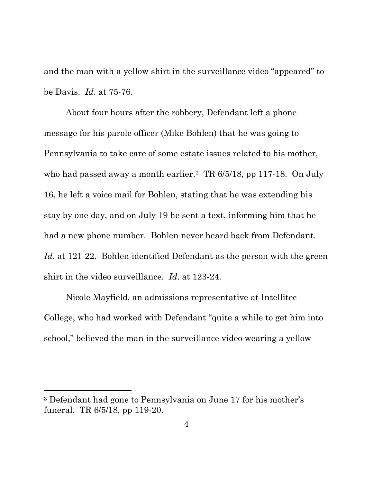and the man with a yellow shirt in the surveillance video "appeared" to be Davis. *Id*. at 75-76.

About four hours after the robbery, Defendant left a phone message for his parole officer (Mike Bohlen) that he was going to Pennsylvania to take care of some estate issues related to his mother, who had passed away a month earlier.<sup>3</sup> TR 6/5/18, pp 117-18. On July 16, he left a voice mail for Bohlen, stating that he was extending his stay by one day, and on July 19 he sent a text, informing him that he had a new phone number. Bohlen never heard back from Defendant. *Id*. at 121-22. Bohlen identified Defendant as the person with the green shirt in the video surveillance. *Id*. at 123-24.

Nicole Mayfield, an admissions representative at Intellitec College, who had worked with Defendant "quite a while to get him into school," believed the man in the surveillance video wearing a yellow

<sup>3</sup> Defendant had gone to Pennsylvania on June 17 for his mother's funeral. TR 6/5/18, pp 119-20.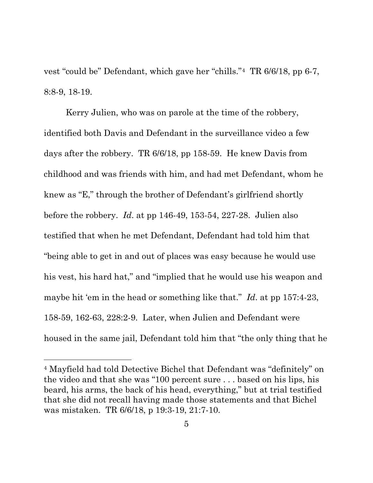vest "could be" Defendant, which gave her "chills."4 TR 6/6/18, pp 6-7, 8:8-9, 18-19.

Kerry Julien, who was on parole at the time of the robbery, identified both Davis and Defendant in the surveillance video a few days after the robbery. TR 6/6/18, pp 158-59. He knew Davis from childhood and was friends with him, and had met Defendant, whom he knew as "E," through the brother of Defendant's girlfriend shortly before the robbery. *Id*. at pp 146-49, 153-54, 227-28. Julien also testified that when he met Defendant, Defendant had told him that "being able to get in and out of places was easy because he would use his vest, his hard hat," and "implied that he would use his weapon and maybe hit 'em in the head or something like that." *Id*. at pp 157:4-23, 158-59, 162-63, 228:2-9. Later, when Julien and Defendant were housed in the same jail, Defendant told him that "the only thing that he

<sup>4</sup> Mayfield had told Detective Bichel that Defendant was "definitely" on the video and that she was "100 percent sure . . . based on his lips, his beard, his arms, the back of his head, everything," but at trial testified that she did not recall having made those statements and that Bichel was mistaken. TR 6/6/18, p 19:3-19, 21:7-10.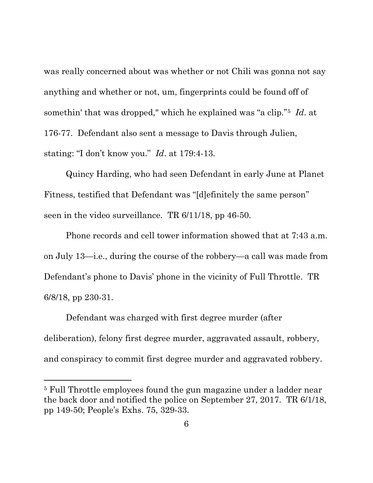was really concerned about was whether or not Chili was gonna not say anything and whether or not, um, fingerprints could be found off of somethin' that was dropped," which he explained was "a clip."5 *Id*. at 176-77. Defendant also sent a message to Davis through Julien, stating: "I don't know you." *Id*. at 179:4-13.

Quincy Harding, who had seen Defendant in early June at Planet Fitness, testified that Defendant was "[d]efinitely the same person" seen in the video surveillance. TR 6/11/18, pp 46-50.

Phone records and cell tower information showed that at 7:43 a.m. on July 13—i.e., during the course of the robbery—a call was made from Defendant's phone to Davis' phone in the vicinity of Full Throttle. TR 6/8/18, pp 230-31.

Defendant was charged with first degree murder (after deliberation), felony first degree murder, aggravated assault, robbery, and conspiracy to commit first degree murder and aggravated robbery.

<sup>5</sup> Full Throttle employees found the gun magazine under a ladder near the back door and notified the police on September 27, 2017. TR 6/1/18, pp 149-50; People's Exhs. 75, 329-33.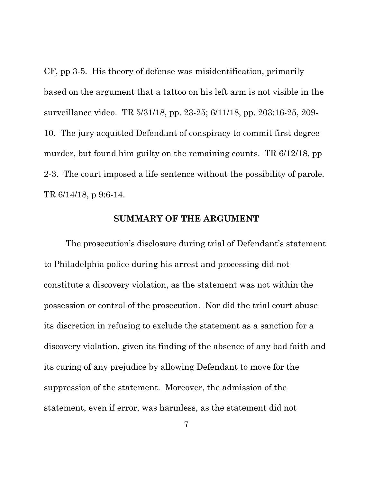CF, pp 3-5. His theory of defense was misidentification, primarily based on the argument that a tattoo on his left arm is not visible in the surveillance video. TR 5/31/18, pp. 23-25; 6/11/18, pp. 203:16-25, 209- 10. The jury acquitted Defendant of conspiracy to commit first degree murder, but found him guilty on the remaining counts. TR 6/12/18, pp 2-3. The court imposed a life sentence without the possibility of parole. TR 6/14/18, p 9:6-14.

#### **SUMMARY OF THE ARGUMENT**

The prosecution's disclosure during trial of Defendant's statement to Philadelphia police during his arrest and processing did not constitute a discovery violation, as the statement was not within the possession or control of the prosecution. Nor did the trial court abuse its discretion in refusing to exclude the statement as a sanction for a discovery violation, given its finding of the absence of any bad faith and its curing of any prejudice by allowing Defendant to move for the suppression of the statement. Moreover, the admission of the statement, even if error, was harmless, as the statement did not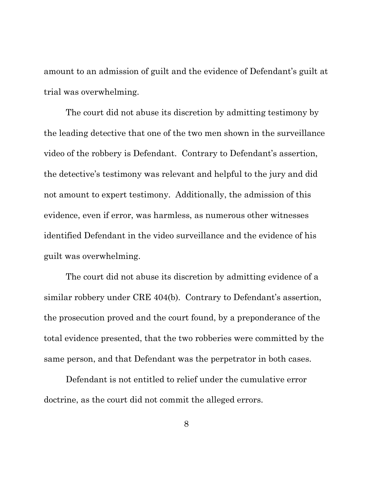amount to an admission of guilt and the evidence of Defendant's guilt at trial was overwhelming.

The court did not abuse its discretion by admitting testimony by the leading detective that one of the two men shown in the surveillance video of the robbery is Defendant. Contrary to Defendant's assertion, the detective's testimony was relevant and helpful to the jury and did not amount to expert testimony. Additionally, the admission of this evidence, even if error, was harmless, as numerous other witnesses identified Defendant in the video surveillance and the evidence of his guilt was overwhelming.

The court did not abuse its discretion by admitting evidence of a similar robbery under CRE 404(b). Contrary to Defendant's assertion, the prosecution proved and the court found, by a preponderance of the total evidence presented, that the two robberies were committed by the same person, and that Defendant was the perpetrator in both cases.

Defendant is not entitled to relief under the cumulative error doctrine, as the court did not commit the alleged errors.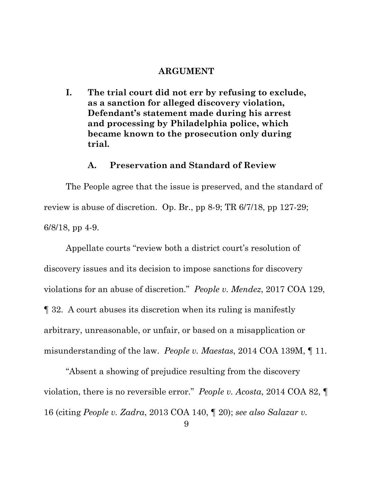#### **ARGUMENT**

**I. The trial court did not err by refusing to exclude, as a sanction for alleged discovery violation, Defendant's statement made during his arrest and processing by Philadelphia police, which became known to the prosecution only during trial.**

### **A. Preservation and Standard of Review**

The People agree that the issue is preserved, and the standard of review is abuse of discretion. Op. Br., pp 8-9; TR 6/7/18, pp 127-29; 6/8/18, pp 4-9.

Appellate courts "review both a district court's resolution of discovery issues and its decision to impose sanctions for discovery violations for an abuse of discretion." *People v. Mendez*, 2017 COA 129, ¶ 32. A court abuses its discretion when its ruling is manifestly arbitrary, unreasonable, or unfair, or based on a misapplication or misunderstanding of the law. *People v. Maestas*, 2014 COA 139M, ¶ 11.

"Absent a showing of prejudice resulting from the discovery violation, there is no reversible error." *People v. Acosta*, 2014 COA 82, ¶ 16 (citing *People v. Zadra*, 2013 COA 140, ¶ 20); *see also Salazar v.*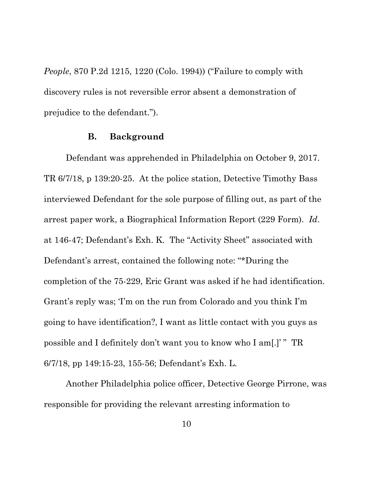*People*, 870 P.2d 1215, 1220 (Colo. 1994)) ("Failure to comply with discovery rules is not reversible error absent a demonstration of prejudice to the defendant.").

### **B. Background**

Defendant was apprehended in Philadelphia on October 9, 2017. TR 6/7/18, p 139:20-25. At the police station, Detective Timothy Bass interviewed Defendant for the sole purpose of filling out, as part of the arrest paper work, a Biographical Information Report (229 Form). *Id*. at 146-47; Defendant's Exh. K. The "Activity Sheet" associated with Defendant's arrest, contained the following note: "\*During the completion of the 75-229, Eric Grant was asked if he had identification. Grant's reply was; 'I'm on the run from Colorado and you think I'm going to have identification?, I want as little contact with you guys as possible and I definitely don't want you to know who I am[.]' " TR 6/7/18, pp 149:15-23, 155-56; Defendant's Exh. L.

Another Philadelphia police officer, Detective George Pirrone, was responsible for providing the relevant arresting information to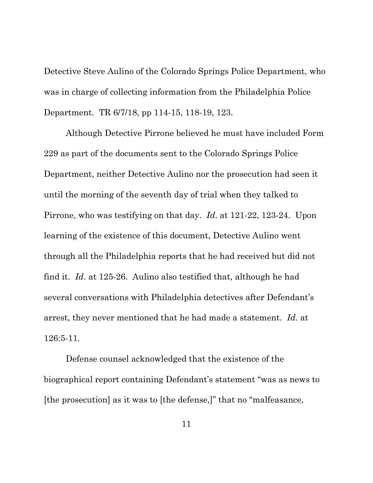Detective Steve Aulino of the Colorado Springs Police Department, who was in charge of collecting information from the Philadelphia Police Department. TR 6/7/18, pp 114-15, 118-19, 123.

Although Detective Pirrone believed he must have included Form 229 as part of the documents sent to the Colorado Springs Police Department, neither Detective Aulino nor the prosecution had seen it until the morning of the seventh day of trial when they talked to Pirrone, who was testifying on that day. *Id*. at 121-22, 123-24. Upon learning of the existence of this document, Detective Aulino went through all the Philadelphia reports that he had received but did not find it. *Id*. at 125-26. Aulino also testified that, although he had several conversations with Philadelphia detectives after Defendant's arrest, they never mentioned that he had made a statement. *Id*. at 126:5-11.

Defense counsel acknowledged that the existence of the biographical report containing Defendant's statement "was as news to [the prosecution] as it was to [the defense,]" that no "malfeasance,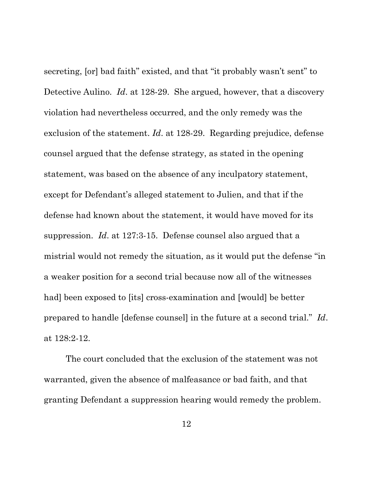secreting, [or] bad faith" existed, and that "it probably wasn't sent" to Detective Aulino. *Id*. at 128-29. She argued, however, that a discovery violation had nevertheless occurred, and the only remedy was the exclusion of the statement. *Id*. at 128-29. Regarding prejudice, defense counsel argued that the defense strategy, as stated in the opening statement, was based on the absence of any inculpatory statement, except for Defendant's alleged statement to Julien, and that if the defense had known about the statement, it would have moved for its suppression. *Id*. at 127:3-15. Defense counsel also argued that a mistrial would not remedy the situation, as it would put the defense "in a weaker position for a second trial because now all of the witnesses had] been exposed to [its] cross-examination and [would] be better prepared to handle [defense counsel] in the future at a second trial." *Id*. at 128:2-12.

The court concluded that the exclusion of the statement was not warranted, given the absence of malfeasance or bad faith, and that granting Defendant a suppression hearing would remedy the problem.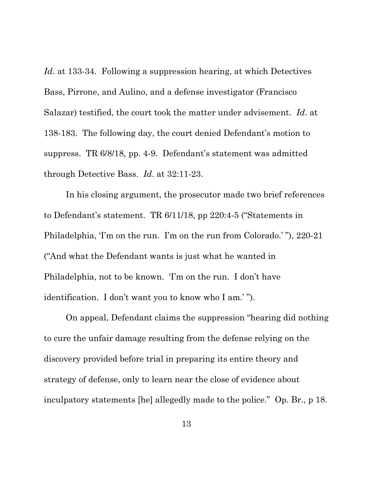*Id*. at 133-34. Following a suppression hearing, at which Detectives Bass, Pirrone, and Aulino, and a defense investigator (Francisco Salazar) testified, the court took the matter under advisement. *Id*. at 138-183. The following day, the court denied Defendant's motion to suppress. TR 6/8/18, pp. 4-9. Defendant's statement was admitted through Detective Bass. *Id*. at 32:11-23.

In his closing argument, the prosecutor made two brief references to Defendant's statement. TR 6/11/18, pp 220:4-5 ("Statements in Philadelphia, 'I'm on the run. I'm on the run from Colorado.'"), 220-21 ("And what the Defendant wants is just what he wanted in Philadelphia, not to be known. 'I'm on the run. I don't have identification. I don't want you to know who I am.' ").

On appeal, Defendant claims the suppression "hearing did nothing to cure the unfair damage resulting from the defense relying on the discovery provided before trial in preparing its entire theory and strategy of defense, only to learn near the close of evidence about inculpatory statements [he] allegedly made to the police." Op. Br., p 18.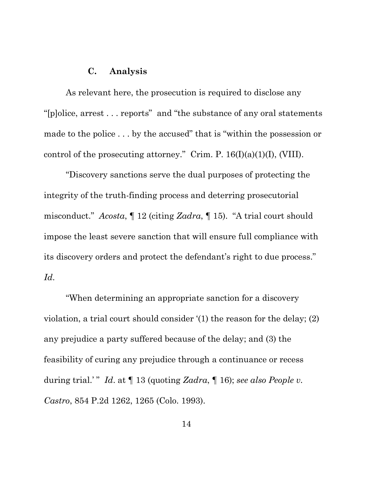### **C. Analysis**

As relevant here, the prosecution is required to disclose any "[p]olice, arrest . . . reports" and "the substance of any oral statements made to the police . . . by the accused" that is "within the possession or control of the prosecuting attorney." Crim. P.  $16(I)(a)(1)(I)$ , (VIII).

"Discovery sanctions serve the dual purposes of protecting the integrity of the truth-finding process and deterring prosecutorial misconduct." *Acosta*, ¶ 12 (citing *Zadra*, ¶ 15). "A trial court should impose the least severe sanction that will ensure full compliance with its discovery orders and protect the defendant's right to due process." *Id*.

"When determining an appropriate sanction for a discovery violation, a trial court should consider '(1) the reason for the delay; (2) any prejudice a party suffered because of the delay; and (3) the feasibility of curing any prejudice through a continuance or recess during trial.' " *Id*. at ¶ 13 (quoting *Zadra*, ¶ 16); *see also People v. Castro*, 854 P.2d 1262, 1265 (Colo. 1993).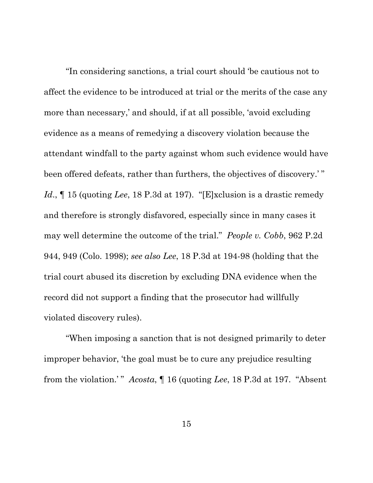"In considering sanctions, a trial court should 'be cautious not to affect the evidence to be introduced at trial or the merits of the case any more than necessary,' and should, if at all possible, 'avoid excluding evidence as a means of remedying a discovery violation because the attendant windfall to the party against whom such evidence would have been offered defeats, rather than furthers, the objectives of discovery.'" *Id*., ¶ 15 (quoting *Lee*, 18 P.3d at 197). "[E]xclusion is a drastic remedy and therefore is strongly disfavored, especially since in many cases it may well determine the outcome of the trial." *People v. Cobb*, 962 P.2d 944, 949 (Colo. 1998); *see also Lee*, 18 P.3d at 194-98 (holding that the trial court abused its discretion by excluding DNA evidence when the record did not support a finding that the prosecutor had willfully violated discovery rules).

"When imposing a sanction that is not designed primarily to deter improper behavior, 'the goal must be to cure any prejudice resulting from the violation.' " *Acosta*, ¶ 16 (quoting *Lee*, 18 P.3d at 197. "Absent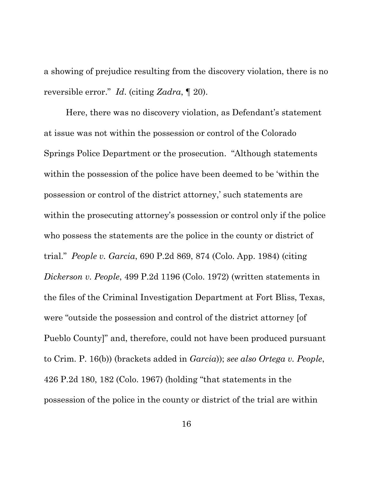a showing of prejudice resulting from the discovery violation, there is no reversible error." *Id*. (citing *Zadra*, ¶ 20).

Here, there was no discovery violation, as Defendant's statement at issue was not within the possession or control of the Colorado Springs Police Department or the prosecution. "Although statements within the possession of the police have been deemed to be 'within the possession or control of the district attorney,' such statements are within the prosecuting attorney's possession or control only if the police who possess the statements are the police in the county or district of trial." *People v. Garcia*, 690 P.2d 869, 874 (Colo. App. 1984) (citing *Dickerson v. People*, 499 P.2d 1196 (Colo. 1972) (written statements in the files of the Criminal Investigation Department at Fort Bliss, Texas, were "outside the possession and control of the district attorney [of Pueblo County]" and, therefore, could not have been produced pursuant to Crim. P. 16(b)) (brackets added in *Garcia*)); *see also Ortega v. People*, 426 P.2d 180, 182 (Colo. 1967) (holding "that statements in the possession of the police in the county or district of the trial are within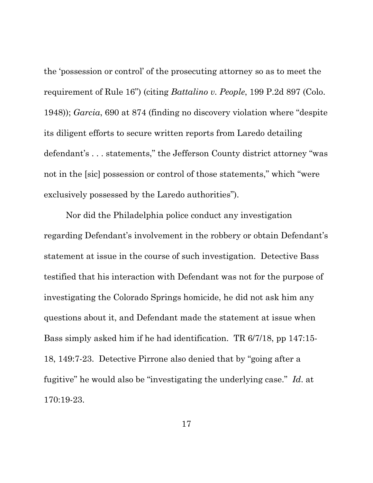the 'possession or control' of the prosecuting attorney so as to meet the requirement of Rule 16") (citing *Battalino v. People*, 199 P.2d 897 (Colo. 1948)); *Garcia*, 690 at 874 (finding no discovery violation where "despite its diligent efforts to secure written reports from Laredo detailing defendant's . . . statements," the Jefferson County district attorney "was not in the [sic] possession or control of those statements," which "were exclusively possessed by the Laredo authorities").

Nor did the Philadelphia police conduct any investigation regarding Defendant's involvement in the robbery or obtain Defendant's statement at issue in the course of such investigation. Detective Bass testified that his interaction with Defendant was not for the purpose of investigating the Colorado Springs homicide, he did not ask him any questions about it, and Defendant made the statement at issue when Bass simply asked him if he had identification. TR 6/7/18, pp 147:15- 18, 149:7-23. Detective Pirrone also denied that by "going after a fugitive" he would also be "investigating the underlying case." *Id*. at 170:19-23.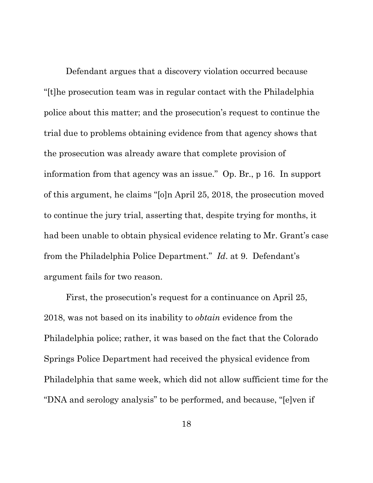Defendant argues that a discovery violation occurred because "[t]he prosecution team was in regular contact with the Philadelphia police about this matter; and the prosecution's request to continue the trial due to problems obtaining evidence from that agency shows that the prosecution was already aware that complete provision of information from that agency was an issue." Op. Br., p 16. In support of this argument, he claims "[o]n April 25, 2018, the prosecution moved to continue the jury trial, asserting that, despite trying for months, it had been unable to obtain physical evidence relating to Mr. Grant's case from the Philadelphia Police Department." *Id*. at 9. Defendant's argument fails for two reason.

First, the prosecution's request for a continuance on April 25, 2018, was not based on its inability to *obtain* evidence from the Philadelphia police; rather, it was based on the fact that the Colorado Springs Police Department had received the physical evidence from Philadelphia that same week, which did not allow sufficient time for the "DNA and serology analysis" to be performed, and because, "[e]ven if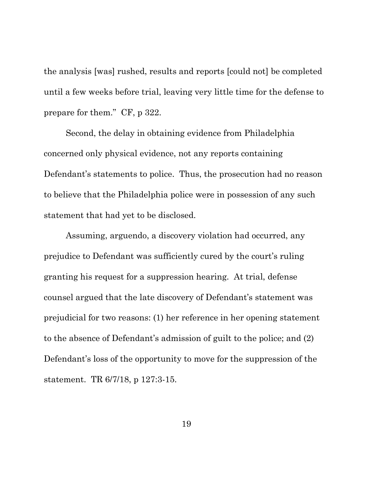the analysis [was] rushed, results and reports [could not] be completed until a few weeks before trial, leaving very little time for the defense to prepare for them." CF, p 322.

Second, the delay in obtaining evidence from Philadelphia concerned only physical evidence, not any reports containing Defendant's statements to police. Thus, the prosecution had no reason to believe that the Philadelphia police were in possession of any such statement that had yet to be disclosed.

Assuming, arguendo, a discovery violation had occurred, any prejudice to Defendant was sufficiently cured by the court's ruling granting his request for a suppression hearing. At trial, defense counsel argued that the late discovery of Defendant's statement was prejudicial for two reasons: (1) her reference in her opening statement to the absence of Defendant's admission of guilt to the police; and (2) Defendant's loss of the opportunity to move for the suppression of the statement. TR 6/7/18, p 127:3-15.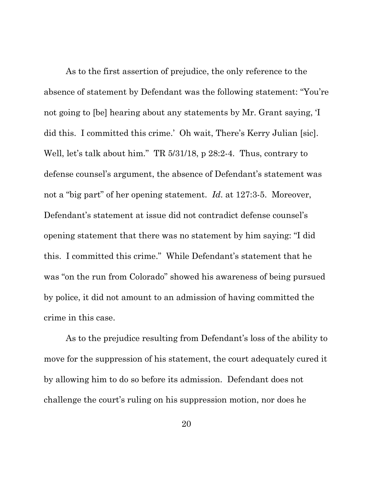As to the first assertion of prejudice, the only reference to the absence of statement by Defendant was the following statement: "You're not going to [be] hearing about any statements by Mr. Grant saying, 'I did this. I committed this crime.' Oh wait, There's Kerry Julian [sic]. Well, let's talk about him." TR 5/31/18, p 28:2-4. Thus, contrary to defense counsel's argument, the absence of Defendant's statement was not a "big part" of her opening statement. *Id*. at 127:3-5. Moreover, Defendant's statement at issue did not contradict defense counsel's opening statement that there was no statement by him saying: "I did this. I committed this crime." While Defendant's statement that he was "on the run from Colorado" showed his awareness of being pursued by police, it did not amount to an admission of having committed the crime in this case.

As to the prejudice resulting from Defendant's loss of the ability to move for the suppression of his statement, the court adequately cured it by allowing him to do so before its admission. Defendant does not challenge the court's ruling on his suppression motion, nor does he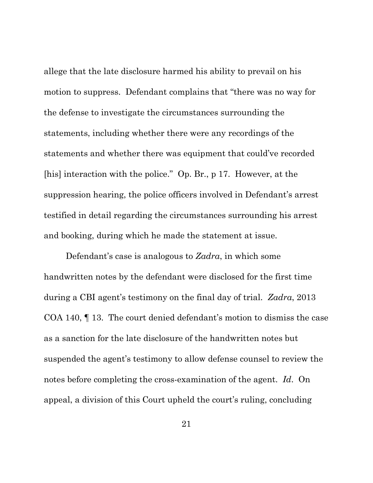allege that the late disclosure harmed his ability to prevail on his motion to suppress. Defendant complains that "there was no way for the defense to investigate the circumstances surrounding the statements, including whether there were any recordings of the statements and whether there was equipment that could've recorded [his] interaction with the police." Op. Br., p 17. However, at the suppression hearing, the police officers involved in Defendant's arrest testified in detail regarding the circumstances surrounding his arrest and booking, during which he made the statement at issue.

Defendant's case is analogous to *Zadra*, in which some handwritten notes by the defendant were disclosed for the first time during a CBI agent's testimony on the final day of trial. *Zadra*, 2013 COA 140, ¶ 13. The court denied defendant's motion to dismiss the case as a sanction for the late disclosure of the handwritten notes but suspended the agent's testimony to allow defense counsel to review the notes before completing the cross-examination of the agent. *Id*. On appeal, a division of this Court upheld the court's ruling, concluding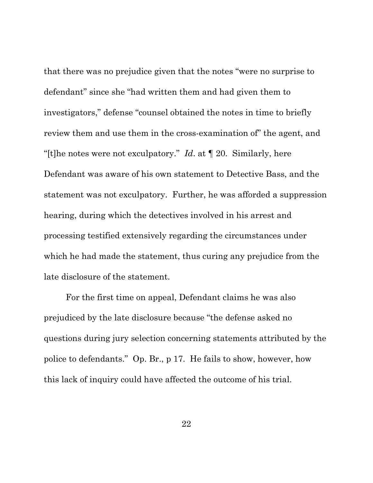that there was no prejudice given that the notes "were no surprise to defendant" since she "had written them and had given them to investigators," defense "counsel obtained the notes in time to briefly review them and use them in the cross-examination of" the agent, and "[t]he notes were not exculpatory." *Id*. at ¶ 20. Similarly, here Defendant was aware of his own statement to Detective Bass, and the statement was not exculpatory. Further, he was afforded a suppression hearing, during which the detectives involved in his arrest and processing testified extensively regarding the circumstances under which he had made the statement, thus curing any prejudice from the late disclosure of the statement.

For the first time on appeal, Defendant claims he was also prejudiced by the late disclosure because "the defense asked no questions during jury selection concerning statements attributed by the police to defendants." Op. Br., p 17. He fails to show, however, how this lack of inquiry could have affected the outcome of his trial.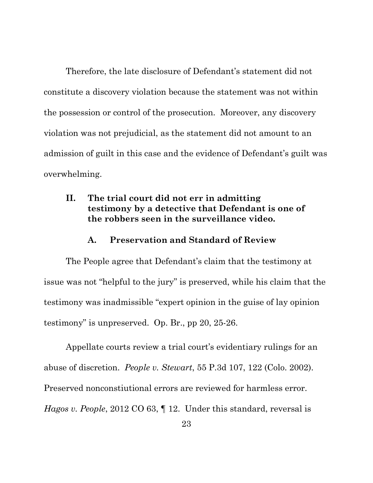Therefore, the late disclosure of Defendant's statement did not constitute a discovery violation because the statement was not within the possession or control of the prosecution. Moreover, any discovery violation was not prejudicial, as the statement did not amount to an admission of guilt in this case and the evidence of Defendant's guilt was overwhelming.

## **II. The trial court did not err in admitting testimony by a detective that Defendant is one of the robbers seen in the surveillance video.**

### **A. Preservation and Standard of Review**

The People agree that Defendant's claim that the testimony at issue was not "helpful to the jury" is preserved, while his claim that the testimony was inadmissible "expert opinion in the guise of lay opinion testimony" is unpreserved. Op. Br., pp 20, 25-26.

Appellate courts review a trial court's evidentiary rulings for an abuse of discretion. *People v. Stewart*, 55 P.3d 107, 122 (Colo. 2002). Preserved nonconstiutional errors are reviewed for harmless error. *Hagos v. People*, 2012 CO 63, ¶ 12. Under this standard, reversal is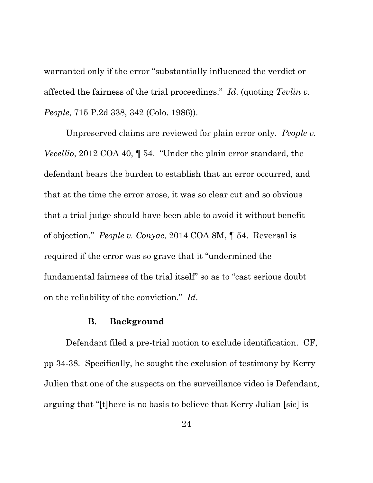warranted only if the error "substantially influenced the verdict or affected the fairness of the trial proceedings." *Id*. (quoting *Tevlin v. People*, 715 P.2d 338, 342 (Colo. 1986)).

Unpreserved claims are reviewed for plain error only. *People v. Vecellio*, 2012 COA 40, ¶ 54. "Under the plain error standard, the defendant bears the burden to establish that an error occurred, and that at the time the error arose, it was so clear cut and so obvious that a trial judge should have been able to avoid it without benefit of objection." *People v. Conyac*, 2014 COA 8M, ¶ 54. Reversal is required if the error was so grave that it "undermined the fundamental fairness of the trial itself" so as to "cast serious doubt on the reliability of the conviction." *Id*.

#### **B. Background**

Defendant filed a pre-trial motion to exclude identification. CF, pp 34-38. Specifically, he sought the exclusion of testimony by Kerry Julien that one of the suspects on the surveillance video is Defendant, arguing that "[t]here is no basis to believe that Kerry Julian [sic] is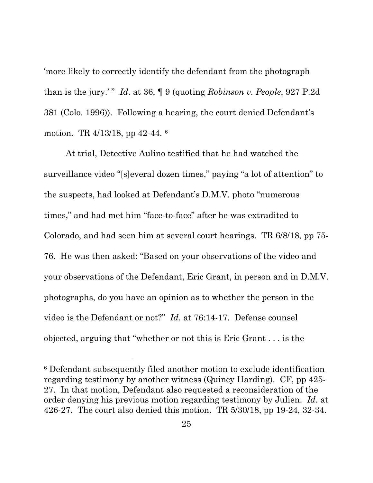'more likely to correctly identify the defendant from the photograph than is the jury.' " *Id*. at 36, ¶ 9 (quoting *Robinson v. People*, 927 P.2d 381 (Colo. 1996)). Following a hearing, the court denied Defendant's motion. TR 4/13/18, pp 42-44. <sup>6</sup>

At trial, Detective Aulino testified that he had watched the surveillance video "[s]everal dozen times," paying "a lot of attention" to the suspects, had looked at Defendant's D.M.V. photo "numerous times," and had met him "face-to-face" after he was extradited to Colorado, and had seen him at several court hearings. TR 6/8/18, pp 75- 76. He was then asked: "Based on your observations of the video and your observations of the Defendant, Eric Grant, in person and in D.M.V. photographs, do you have an opinion as to whether the person in the video is the Defendant or not?" *Id*. at 76:14-17. Defense counsel objected, arguing that "whether or not this is Eric Grant . . . is the

<sup>6</sup> Defendant subsequently filed another motion to exclude identification regarding testimony by another witness (Quincy Harding). CF, pp 425- 27. In that motion, Defendant also requested a reconsideration of the order denying his previous motion regarding testimony by Julien. *Id*. at 426-27. The court also denied this motion. TR 5/30/18, pp 19-24, 32-34.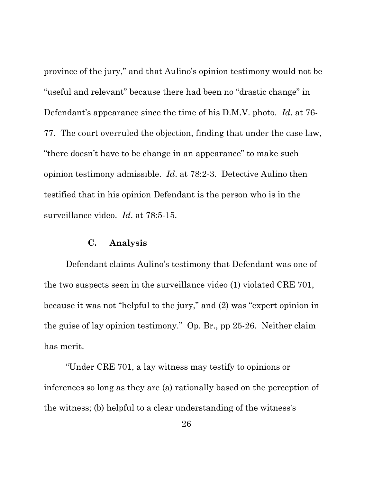province of the jury," and that Aulino's opinion testimony would not be "useful and relevant" because there had been no "drastic change" in Defendant's appearance since the time of his D.M.V. photo. *Id*. at 76- 77. The court overruled the objection, finding that under the case law, "there doesn't have to be change in an appearance" to make such opinion testimony admissible. *Id*. at 78:2-3. Detective Aulino then testified that in his opinion Defendant is the person who is in the surveillance video. *Id*. at 78:5-15.

#### **C. Analysis**

Defendant claims Aulino's testimony that Defendant was one of the two suspects seen in the surveillance video (1) violated CRE 701, because it was not "helpful to the jury," and (2) was "expert opinion in the guise of lay opinion testimony." Op. Br., pp 25-26. Neither claim has merit.

"Under CRE 701, a lay witness may testify to opinions or inferences so long as they are (a) rationally based on the perception of the witness; (b) helpful to a clear understanding of the witness's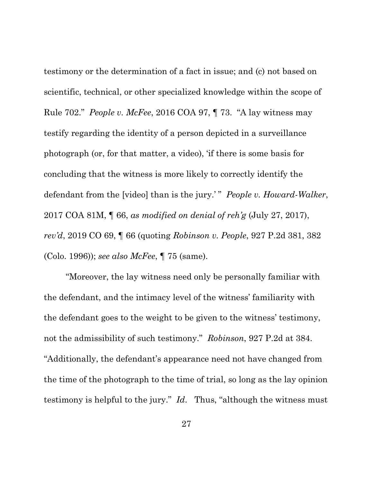testimony or the determination of a fact in issue; and (c) not based on scientific, technical, or other specialized knowledge within the scope of Rule 702." *People v. McFee*, 2016 COA 97, ¶ 73. "A lay witness may testify regarding the identity of a person depicted in a surveillance photograph (or, for that matter, a video), 'if there is some basis for concluding that the witness is more likely to correctly identify the defendant from the [video] than is the jury.' " *People v. Howard-Walker*, 2017 COA 81M, ¶ 66, *as modified on denial of reh'g* (July 27, 2017), *rev'd*, 2019 CO 69, ¶ 66 (quoting *Robinson v. People*, 927 P.2d 381, 382 (Colo. 1996)); *see also McFee*, ¶ 75 (same).

"Moreover, the lay witness need only be personally familiar with the defendant, and the intimacy level of the witness' familiarity with the defendant goes to the weight to be given to the witness' testimony, not the admissibility of such testimony." *Robinson*, 927 P.2d at 384. "Additionally, the defendant's appearance need not have changed from the time of the photograph to the time of trial, so long as the lay opinion testimony is helpful to the jury." *Id*. Thus, "although the witness must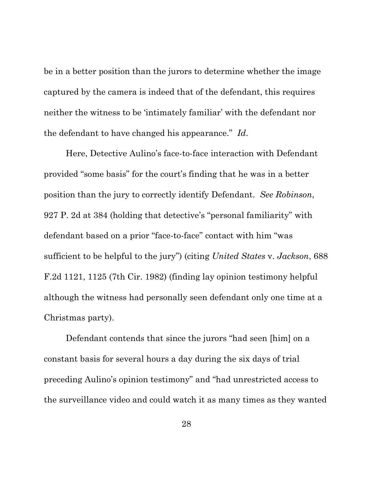be in a better position than the jurors to determine whether the image captured by the camera is indeed that of the defendant, this requires neither the witness to be 'intimately familiar' with the defendant nor the defendant to have changed his appearance." *Id*.

Here, Detective Aulino's face-to-face interaction with Defendant provided "some basis" for the court's finding that he was in a better position than the jury to correctly identify Defendant. *See Robinson*, 927 P. 2d at 384 (holding that detective's "personal familiarity" with defendant based on a prior "face-to-face" contact with him "was sufficient to be helpful to the jury") (citing *United States* v. *Jackson*, 688 F.2d 1121, 1125 (7th Cir. 1982) (finding lay opinion testimony helpful although the witness had personally seen defendant only one time at a Christmas party).

Defendant contends that since the jurors "had seen [him] on a constant basis for several hours a day during the six days of trial preceding Aulino's opinion testimony" and "had unrestricted access to the surveillance video and could watch it as many times as they wanted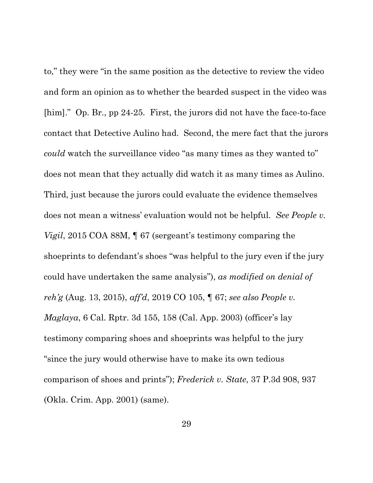to," they were "in the same position as the detective to review the video and form an opinion as to whether the bearded suspect in the video was [him]." Op. Br., pp 24-25. First, the jurors did not have the face-to-face contact that Detective Aulino had. Second, the mere fact that the jurors *could* watch the surveillance video "as many times as they wanted to" does not mean that they actually did watch it as many times as Aulino. Third, just because the jurors could evaluate the evidence themselves does not mean a witness' evaluation would not be helpful. *See People v. Vigil*, 2015 COA 88M, ¶ 67 (sergeant's testimony comparing the shoeprints to defendant's shoes "was helpful to the jury even if the jury could have undertaken the same analysis"), *as modified on denial of reh'g* (Aug. 13, 2015), *aff'd*, 2019 CO 105, ¶ 67; *see also People v. Maglaya*, 6 Cal. Rptr. 3d 155, 158 (Cal. App. 2003) (officer's lay testimony comparing shoes and shoeprints was helpful to the jury "since the jury would otherwise have to make its own tedious comparison of shoes and prints"); *Frederick v. State*, 37 P.3d 908, 937 (Okla. Crim. App. 2001) (same).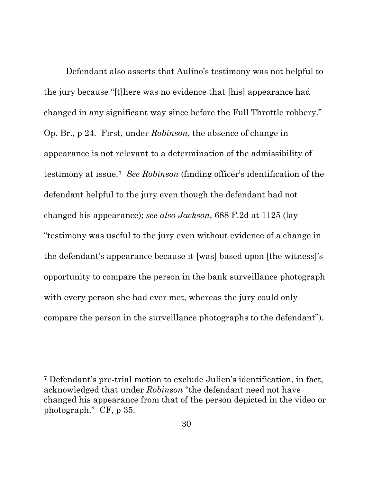Defendant also asserts that Aulino's testimony was not helpful to the jury because "[t]here was no evidence that [his] appearance had changed in any significant way since before the Full Throttle robbery." Op. Br., p 24. First, under *Robinson*, the absence of change in appearance is not relevant to a determination of the admissibility of testimony at issue.7 *See Robinson* (finding officer's identification of the defendant helpful to the jury even though the defendant had not changed his appearance); *see also Jackson*, 688 F.2d at 1125 (lay "testimony was useful to the jury even without evidence of a change in the defendant's appearance because it [was] based upon [the witness]'s opportunity to compare the person in the bank surveillance photograph with every person she had ever met, whereas the jury could only compare the person in the surveillance photographs to the defendant").

<sup>7</sup> Defendant's pre-trial motion to exclude Julien's identification, in fact, acknowledged that under *Robinson* "the defendant need not have changed his appearance from that of the person depicted in the video or photograph." CF, p 35.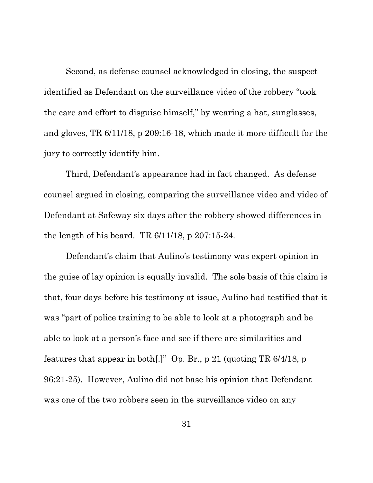Second, as defense counsel acknowledged in closing, the suspect identified as Defendant on the surveillance video of the robbery "took the care and effort to disguise himself," by wearing a hat, sunglasses, and gloves, TR 6/11/18, p 209:16-18, which made it more difficult for the jury to correctly identify him.

Third, Defendant's appearance had in fact changed. As defense counsel argued in closing, comparing the surveillance video and video of Defendant at Safeway six days after the robbery showed differences in the length of his beard. TR 6/11/18, p 207:15-24.

Defendant's claim that Aulino's testimony was expert opinion in the guise of lay opinion is equally invalid. The sole basis of this claim is that, four days before his testimony at issue, Aulino had testified that it was "part of police training to be able to look at a photograph and be able to look at a person's face and see if there are similarities and features that appear in both[.]" Op. Br., p 21 (quoting TR 6/4/18, p 96:21-25). However, Aulino did not base his opinion that Defendant was one of the two robbers seen in the surveillance video on any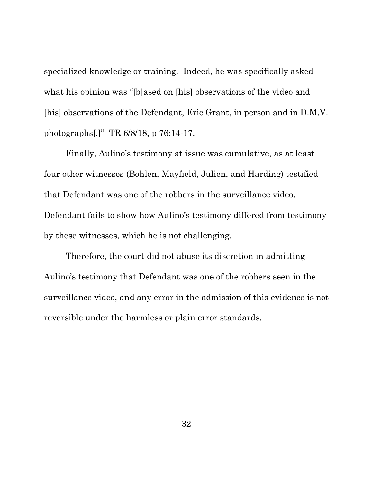specialized knowledge or training. Indeed, he was specifically asked what his opinion was "[b]ased on [his] observations of the video and [his] observations of the Defendant, Eric Grant, in person and in D.M.V. photographs[.]" TR 6/8/18, p 76:14-17.

Finally, Aulino's testimony at issue was cumulative, as at least four other witnesses (Bohlen, Mayfield, Julien, and Harding) testified that Defendant was one of the robbers in the surveillance video. Defendant fails to show how Aulino's testimony differed from testimony by these witnesses, which he is not challenging.

Therefore, the court did not abuse its discretion in admitting Aulino's testimony that Defendant was one of the robbers seen in the surveillance video, and any error in the admission of this evidence is not reversible under the harmless or plain error standards.

32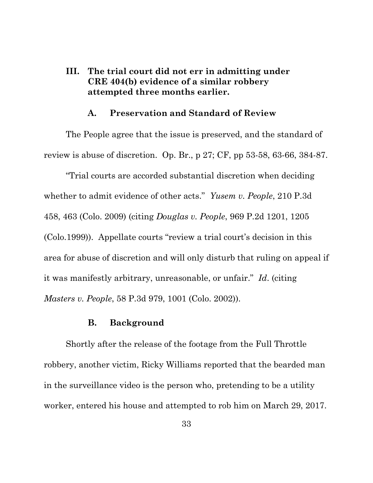## **III. The trial court did not err in admitting under CRE 404(b) evidence of a similar robbery attempted three months earlier.**

### **A. Preservation and Standard of Review**

The People agree that the issue is preserved, and the standard of review is abuse of discretion. Op. Br., p 27; CF, pp 53-58, 63-66, 384-87.

"Trial courts are accorded substantial discretion when deciding whether to admit evidence of other acts." *Yusem v. People*, 210 P.3d 458, 463 (Colo. 2009) (citing *Douglas v. People*, 969 P.2d 1201, 1205 (Colo.1999)). Appellate courts "review a trial court's decision in this area for abuse of discretion and will only disturb that ruling on appeal if it was manifestly arbitrary, unreasonable, or unfair." *Id*. (citing *Masters v. People*, 58 P.3d 979, 1001 (Colo. 2002)).

#### **B. Background**

Shortly after the release of the footage from the Full Throttle robbery, another victim, Ricky Williams reported that the bearded man in the surveillance video is the person who, pretending to be a utility worker, entered his house and attempted to rob him on March 29, 2017.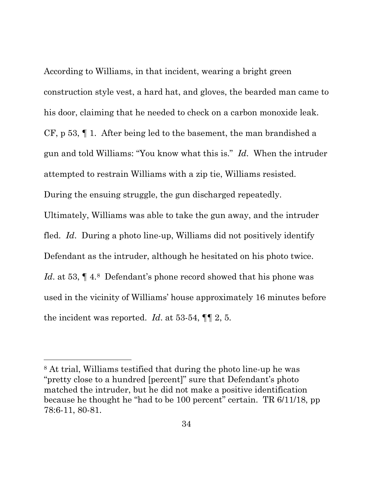According to Williams, in that incident, wearing a bright green construction style vest, a hard hat, and gloves, the bearded man came to his door, claiming that he needed to check on a carbon monoxide leak. CF, p 53, ¶ 1. After being led to the basement, the man brandished a gun and told Williams: "You know what this is." *Id*. When the intruder attempted to restrain Williams with a zip tie, Williams resisted. During the ensuing struggle, the gun discharged repeatedly. Ultimately, Williams was able to take the gun away, and the intruder fled. *Id*. During a photo line-up, Williams did not positively identify Defendant as the intruder, although he hesitated on his photo twice. *Id.* at 53,  $\P$  4.8 Defendant's phone record showed that his phone was used in the vicinity of Williams' house approximately 16 minutes before

the incident was reported. *Id*. at 53-54, ¶¶ 2, 5.

<sup>8</sup> At trial, Williams testified that during the photo line-up he was "pretty close to a hundred [percent]" sure that Defendant's photo matched the intruder, but he did not make a positive identification because he thought he "had to be 100 percent" certain. TR 6/11/18, pp 78:6-11, 80-81.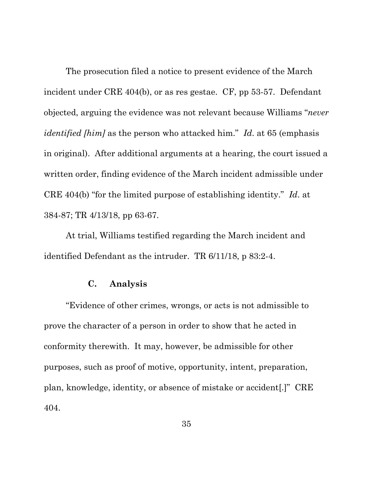The prosecution filed a notice to present evidence of the March incident under CRE 404(b), or as res gestae. CF, pp 53-57. Defendant objected, arguing the evidence was not relevant because Williams "*never identified [him]* as the person who attacked him." *Id*. at 65 (emphasis in original). After additional arguments at a hearing, the court issued a written order, finding evidence of the March incident admissible under CRE 404(b) "for the limited purpose of establishing identity." *Id*. at 384-87; TR 4/13/18, pp 63-67.

At trial, Williams testified regarding the March incident and identified Defendant as the intruder. TR 6/11/18, p 83:2-4.

### **C. Analysis**

"Evidence of other crimes, wrongs, or acts is not admissible to prove the character of a person in order to show that he acted in conformity therewith. It may, however, be admissible for other purposes, such as proof of motive, opportunity, intent, preparation, plan, knowledge, identity, or absence of mistake or accident[.]" CRE 404.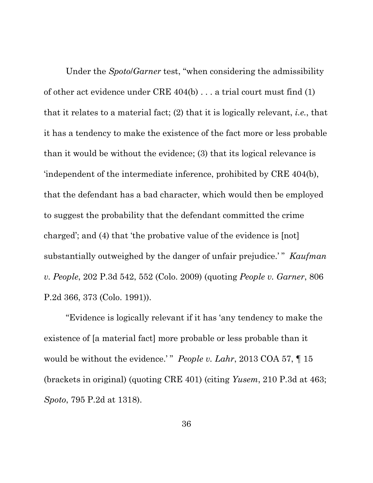Under the *Spoto*/*Garner* test, "when considering the admissibility of other act evidence under CRE 404(b) . . . a trial court must find (1) that it relates to a material fact; (2) that it is logically relevant, *i.e.*, that it has a tendency to make the existence of the fact more or less probable than it would be without the evidence; (3) that its logical relevance is 'independent of the intermediate inference, prohibited by CRE 404(b), that the defendant has a bad character, which would then be employed to suggest the probability that the defendant committed the crime charged'; and (4) that 'the probative value of the evidence is [not] substantially outweighed by the danger of unfair prejudice.' " *Kaufman v. People*, 202 P.3d 542, 552 (Colo. 2009) (quoting *People v. Garner*, 806 P.2d 366, 373 (Colo. 1991)).

"Evidence is logically relevant if it has 'any tendency to make the existence of [a material fact] more probable or less probable than it would be without the evidence.'" *People v. Lahr*, 2013 COA 57, 15 (brackets in original) (quoting CRE 401) (citing *Yusem*, 210 P.3d at 463; *Spoto*, 795 P.2d at 1318).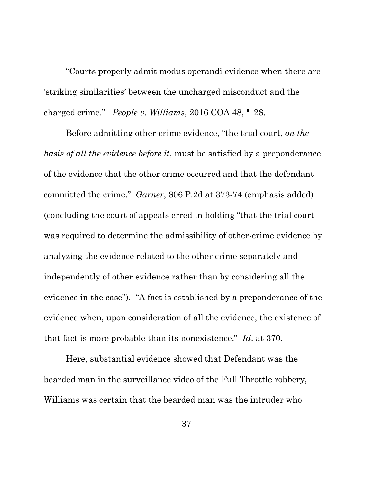"Courts properly admit modus operandi evidence when there are 'striking similarities' between the uncharged misconduct and the charged crime." *People v. Williams*, 2016 COA 48, ¶ 28.

Before admitting other-crime evidence, "the trial court, *on the basis of all the evidence before it*, must be satisfied by a preponderance of the evidence that the other crime occurred and that the defendant committed the crime." *Garner*, 806 P.2d at 373-74 (emphasis added) (concluding the court of appeals erred in holding "that the trial court was required to determine the admissibility of other-crime evidence by analyzing the evidence related to the other crime separately and independently of other evidence rather than by considering all the evidence in the case"). "A fact is established by a preponderance of the evidence when, upon consideration of all the evidence, the existence of that fact is more probable than its nonexistence." *Id*. at 370.

Here, substantial evidence showed that Defendant was the bearded man in the surveillance video of the Full Throttle robbery, Williams was certain that the bearded man was the intruder who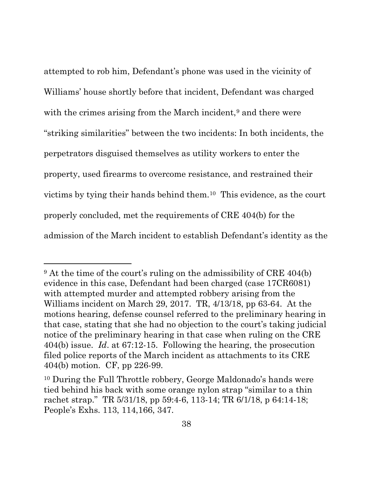attempted to rob him, Defendant's phone was used in the vicinity of Williams' house shortly before that incident, Defendant was charged with the crimes arising from the March incident,<sup>9</sup> and there were "striking similarities" between the two incidents: In both incidents, the perpetrators disguised themselves as utility workers to enter the property, used firearms to overcome resistance, and restrained their victims by tying their hands behind them.10 This evidence, as the court properly concluded, met the requirements of CRE 404(b) for the admission of the March incident to establish Defendant's identity as the

<sup>&</sup>lt;sup>9</sup> At the time of the court's ruling on the admissibility of CRE 404(b) evidence in this case, Defendant had been charged (case 17CR6081) with attempted murder and attempted robbery arising from the Williams incident on March 29, 2017. TR, 4/13/18, pp 63-64. At the motions hearing, defense counsel referred to the preliminary hearing in that case, stating that she had no objection to the court's taking judicial notice of the preliminary hearing in that case when ruling on the CRE 404(b) issue. *Id*. at 67:12-15. Following the hearing, the prosecution filed police reports of the March incident as attachments to its CRE 404(b) motion. CF, pp 226-99.

<sup>10</sup> During the Full Throttle robbery, George Maldonado's hands were tied behind his back with some orange nylon strap "similar to a thin rachet strap." TR 5/31/18, pp 59:4-6, 113-14; TR 6/1/18, p 64:14-18; People's Exhs. 113, 114,166, 347.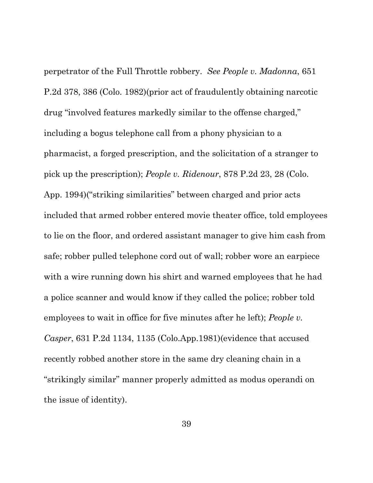perpetrator of the Full Throttle robbery. *See People v. Madonna*, 651 P.2d 378, 386 (Colo. 1982)(prior act of fraudulently obtaining narcotic drug "involved features markedly similar to the offense charged," including a bogus telephone call from a phony physician to a pharmacist, a forged prescription, and the solicitation of a stranger to pick up the prescription); *People v. Ridenour*, 878 P.2d 23, 28 (Colo. App. 1994)("striking similarities" between charged and prior acts included that armed robber entered movie theater office, told employees to lie on the floor, and ordered assistant manager to give him cash from safe; robber pulled telephone cord out of wall; robber wore an earpiece with a wire running down his shirt and warned employees that he had a police scanner and would know if they called the police; robber told employees to wait in office for five minutes after he left); *People v. Casper*, 631 P.2d 1134, 1135 (Colo.App.1981)(evidence that accused recently robbed another store in the same dry cleaning chain in a "strikingly similar" manner properly admitted as modus operandi on the issue of identity).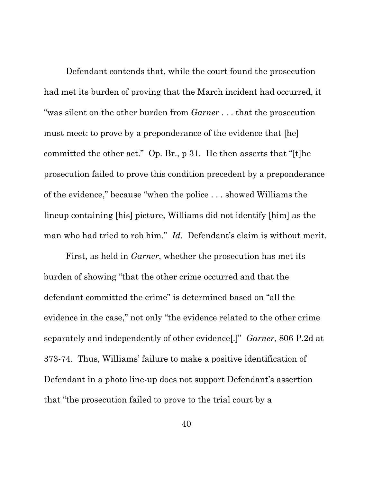Defendant contends that, while the court found the prosecution had met its burden of proving that the March incident had occurred, it "was silent on the other burden from *Garner* . . . that the prosecution must meet: to prove by a preponderance of the evidence that [he] committed the other act." Op. Br., p 31. He then asserts that "[t]he prosecution failed to prove this condition precedent by a preponderance of the evidence," because "when the police . . . showed Williams the lineup containing [his] picture, Williams did not identify [him] as the man who had tried to rob him." *Id*. Defendant's claim is without merit.

First, as held in *Garner*, whether the prosecution has met its burden of showing "that the other crime occurred and that the defendant committed the crime" is determined based on "all the evidence in the case," not only "the evidence related to the other crime separately and independently of other evidence[.]" *Garner*, 806 P.2d at 373-74. Thus, Williams' failure to make a positive identification of Defendant in a photo line-up does not support Defendant's assertion that "the prosecution failed to prove to the trial court by a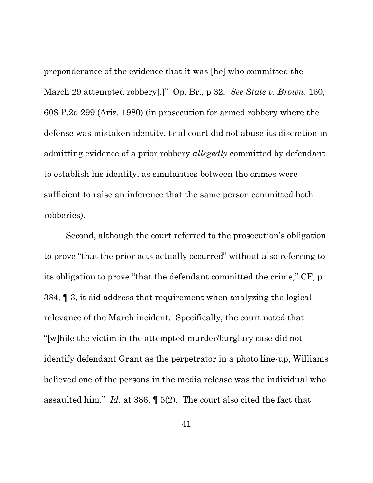preponderance of the evidence that it was [he] who committed the March 29 attempted robbery[.]" Op. Br., p 32. *See State v. Brown*, 160, 608 P.2d 299 (Ariz. 1980) (in prosecution for armed robbery where the defense was mistaken identity, trial court did not abuse its discretion in admitting evidence of a prior robbery *allegedly* committed by defendant to establish his identity, as similarities between the crimes were sufficient to raise an inference that the same person committed both robberies).

Second, although the court referred to the prosecution's obligation to prove "that the prior acts actually occurred" without also referring to its obligation to prove "that the defendant committed the crime," CF, p 384, ¶ 3, it did address that requirement when analyzing the logical relevance of the March incident. Specifically, the court noted that "[w]hile the victim in the attempted murder/burglary case did not identify defendant Grant as the perpetrator in a photo line-up, Williams believed one of the persons in the media release was the individual who assaulted him." *Id*. at 386, ¶ 5(2). The court also cited the fact that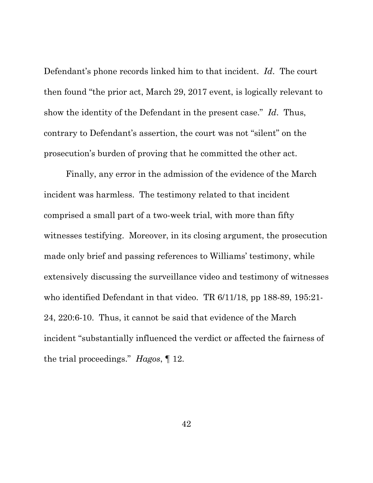Defendant's phone records linked him to that incident. *Id*. The court then found "the prior act, March 29, 2017 event, is logically relevant to show the identity of the Defendant in the present case." *Id*. Thus, contrary to Defendant's assertion, the court was not "silent" on the prosecution's burden of proving that he committed the other act.

Finally, any error in the admission of the evidence of the March incident was harmless. The testimony related to that incident comprised a small part of a two-week trial, with more than fifty witnesses testifying. Moreover, in its closing argument, the prosecution made only brief and passing references to Williams' testimony, while extensively discussing the surveillance video and testimony of witnesses who identified Defendant in that video. TR 6/11/18, pp 188-89, 195:21- 24, 220:6-10. Thus, it cannot be said that evidence of the March incident "substantially influenced the verdict or affected the fairness of the trial proceedings." *Hagos*, ¶ 12.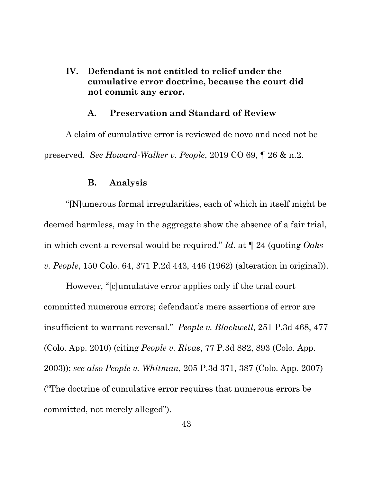**IV. Defendant is not entitled to relief under the cumulative error doctrine, because the court did not commit any error.**

#### **A. Preservation and Standard of Review**

A claim of cumulative error is reviewed de novo and need not be preserved. *See Howard-Walker v. People*, 2019 CO 69, ¶ 26 & n.2.

#### **B. Analysis**

"[N]umerous formal irregularities, each of which in itself might be deemed harmless, may in the aggregate show the absence of a fair trial, in which event a reversal would be required." *Id.* at ¶ 24 (quoting *Oaks v. People*, 150 Colo. 64, 371 P.2d 443, 446 (1962) (alteration in original)).

However, "[c]umulative error applies only if the trial court committed numerous errors; defendant's mere assertions of error are insufficient to warrant reversal." *People v. Blackwell*, 251 P.3d 468, 477 (Colo. App. 2010) (citing *People v. Rivas*, 77 P.3d 882, 893 (Colo. App. 2003)); *see also People v. Whitman*, 205 P.3d 371, 387 (Colo. App. 2007) ("The doctrine of cumulative error requires that numerous errors be committed, not merely alleged").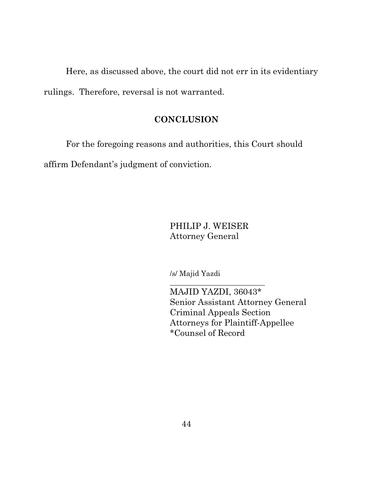Here, as discussed above, the court did not err in its evidentiary rulings. Therefore, reversal is not warranted.

## **CONCLUSION**

For the foregoing reasons and authorities, this Court should

affirm Defendant's judgment of conviction.

PHILIP J. WEISER Attorney General

 $\overline{\phantom{a}}$  , where  $\overline{\phantom{a}}$  , where  $\overline{\phantom{a}}$  , where  $\overline{\phantom{a}}$  ,  $\overline{\phantom{a}}$  ,  $\overline{\phantom{a}}$  ,  $\overline{\phantom{a}}$  ,  $\overline{\phantom{a}}$  ,  $\overline{\phantom{a}}$  ,  $\overline{\phantom{a}}$  ,  $\overline{\phantom{a}}$  ,  $\overline{\phantom{a}}$  ,  $\overline{\phantom{a}}$  ,  $\overline{\phantom{a}}$  ,  $\overline{\phantom$ 

/s/ Majid Yazdi

MAJID YAZDI, 36043\* Senior Assistant Attorney General Criminal Appeals Section Attorneys for Plaintiff-Appellee \*Counsel of Record